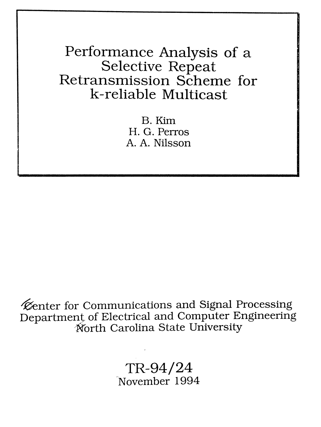Performance Analysis of a Selective Repeat Retransmission Scheme for k-reliable Multicast

> B.Kim H. G. Perras A. A. Nilsson

Kenter for Communications and Signal Processing Department of Electrical and Computer Engineering ·Worth Carolina State University

> TR-94/24 -November 1994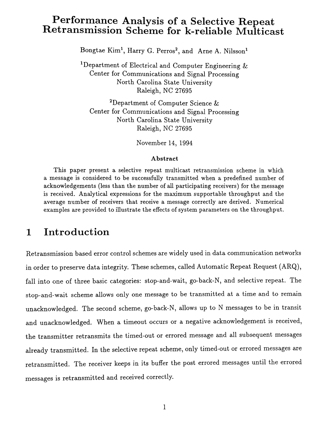## Performance Analysis of a Selective Repeat Retransmission Scheme for k-rehable Multicast

 $\rm{Bongtae\,\, Kim^1,\, Harry\,\,G.\, Perros^2,\, and\,\,\, Arne\,\,A.\,\,Nilsson^1}$ 

<sup>1</sup>Department of Electrical and Computer Engineering  $\&$ Center for Communications and Signal Processing North Carolina State University Raleigh, NC 27695

2Department of Computer Science & Center for Communications and Signal Processing North Carolina State University Raleigh, NC 27695

November 14, 1994

#### Abstract

This paper present a selective repeat multicast retransmission scheme in which a message is considered to be successfully transmitted when a predefined number of acknowledgements (less than the number of all participating receivers) for the message is received. Analytical expressions for the maximum supportable throughput and the average number of receivers that receive a message correctly are derived. Numerical examples are provided to illustrate the effects of system parameters on the throughput.

### **1 Introduction**

Retransmission based error control schemes are widely used in data communication networks in order to preserve data integrity. These schemes, called Automatic Repeat Request (ARQ), fall into one of three basic categories: stop-and-wait, go-back-N, and selective repeat. The stop-and-wait scheme allows only one message to be transmitted at a time and to remain unacknowledged. The second scheme, go-back-N, allows up to N messages to be in transit and unacknowledged. When a timeout occurs or a negative acknowledgement is received, the transmitter retransmits the timed-out or errored message and all subsequent messages already transmitted. In the selective repeat scheme, only timed-out or errored messages are retransmitted. The receiver keeps in its buffer the post errored messages until the errored messages is retransmitted and received correctly.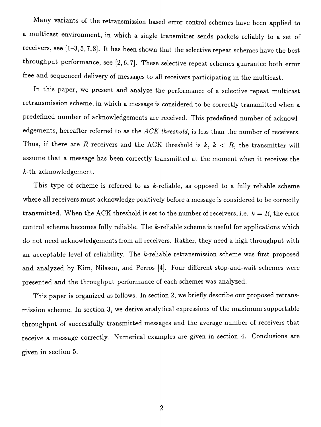Many variants of the retransmission based error control schemes have been applied to a multicast environment, in which a single transmitter sends packets reliably to a set of receivers, see [1-3,5,7,8]. It has been shown that the selective repeat schemes have the best throughput performance, see [2,6,7]. These selective repeat schemes guarantee both error free and sequenced delivery of messages to all receivers participating in the multicast.

In this paper, we present and analyze the performance of a selective repeat multicast retransmission scheme, in which a message is considered to be correctly transmitted when a predefined number of acknowledgements are received. This predefined number of acknowledgements, hereafter referred to as the *ACK threshold,* is less than the number of receivers. Thus, if there are R receivers and the ACK threshold is  $k, k < R$ , the transmitter will assume that a message has been correctly transmitted at the moment when it receives the k-th acknowledgement.

This type of scheme is referred to as  $k$ -reliable, as opposed to a fully reliable scheme where all receivers must acknowledge positively before a message is considered to be correctly transmitted. When the ACK threshold is set to the number of receivers, i.e.  $k = R$ , the error control scheme becomes fully reliable. The  $k$ -reliable scheme is useful for applications which do not need acknowledgements from all receivers. Rather, they need a high throughput with an acceptable level of reliability. The k-reliable retransmission scheme was first proposed and analyzed by Kim, Nilsson, and Perros [4]. Four different stop-and-wait schemes were presented and the throughput performance of each schemes was analyzed.

This paper is organized as follows. In section 2, we briefly describe our proposed retransmission scheme. In section 3, we derive analytical expressions of the maximum supportable throughput of successfully transmitted messages and the average number of receivers that receive a message correctly. Numerical examples are given in section 4. Conclusions are given in section 5.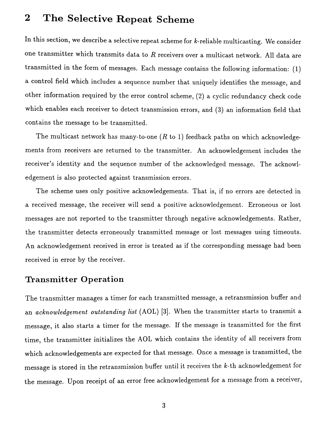# 2 The Selective Repeat Scheme

In this section, we describe a selective repeat scheme for k-reliable multicasting. We consider one transmitter which transmits data to  $R$  receivers over a multicast network. All data are transmitted in the form of messages. Each message contains the following information: (1) a control field which includes a sequence number that uniquely identifies the message, and other information required by the error control scheme, (2) a cyclic redundancy check code which enables each receiver to detect transmission errors, and (3) an information field that contains the message to be transmitted.

The multicast network has many-to-one  $(R \text{ to } 1)$  feedback paths on which acknowledgements from receivers are returned to the transmitter. An acknowledgement includes the receiver's identity and the sequence number of the acknowledged message. The acknowledgement is also protected against transmission errors.

The scheme uses only positive acknowledgements. That is, if no errors are detected in a received message, the receiver will send a positive acknowledgement. Erroneous or lost messages are not reported to the transmitter through negative acknowledgements. Rather, the transmitter detects erroneously transmitted message or lost messages using timeouts. An acknowledgement received in error is treated as if the corresponding message had been received in error by the receiver.

#### **Transmitter Operation**

The transmitter manages a timer for each transmitted message, a retransmission buffer and an *acknowledgement outstanding list* (AOL) [3]. When the transmitter starts to transmit a message, it also starts a timer for the message. If the message is transmitted for the first time, the transmitter initializes the AOL which contains the identity of all receivers from which acknowledgements are expected for that message. Once a message is transmitted, the message is stored in the retransmission buffer until it receives the k-th acknowledgement for the message. Upon receipt of an error free acknowledgement for a message from a receiver,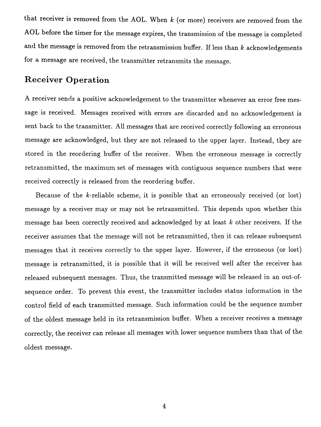that receiver is removed from the AOL. When  $k$  (or more) receivers are removed from the AOL before the timer for the message expires, the transmission of the message is completed and the message is removed from the retransmission buffer. If less than  $k$  acknowledgements for a message are received, the transmitter retransmits the message.

#### Receiver Operation

A receiver sends a positive acknowledgement to the transmitter whenever an error free message is received. Messages received with errors are discarded and no acknowledgement is sent back to the transmitter. All messages that are received correctly following an erroneous message are acknowledged, but they are not released to the upper layer. Instead, they are stored in the reordering buffer of the receiver. When the erroneous message is correctly retransmitted, the maximum set of messages with contiguous sequence numbers that were received correctly is released from the reordering buffer.

Because of the  $k$ -reliable scheme, it is possible that an erroneously received (or lost) message by a receiver mayor may not be retransmitted. This depends upon whether this message has been correctly received and acknowledged by at least  $k$  other receivers. If the receiver assumes that the message will not be retransmitted, then it can release subsequent messages that it receives correctly to the upper layer. However, if the erroneous (or lost) message is retransmitted, it is possible that it will be received well after the receiver has released subsequent messages. Thus, the transmitted message will be released in an out-ofsequence order. To prevent this event, the transmitter includes status information in the control field of each transmitted message. Such information could be the sequence number of the oldest message held in its retransmission buffer. When a receiver receives a message correctly, the receiver can release all messages with lower sequence numbers than that of the oldest message.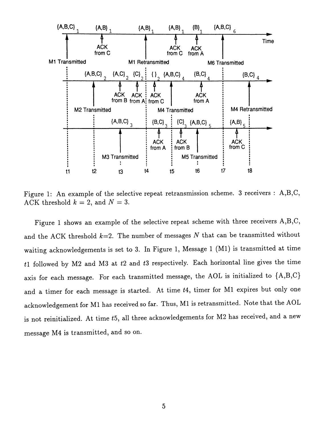

Figure 1: An example of the selective repeat retransmission scheme. 3 receivers: A,B,C, ACK threshold  $k = 2$ , and  $N = 3$ .

Figure 1 shows an example of the selective repeat scheme with three receivers A,B,C, and the *ACK* threshold *k=2.* The number of messages *N* that can be transmitted without waiting acknowledgements is set to 3. In Figure 1, Message 1 (M1) is transmitted at time *t1* followed by M2 and M3 at *t2* and *t3* respectively. Each horizontal line gives the time axis for each message. For each transmitted message, the AOL is initialized to {A,B,C} and a timer for each message is started. At time *t4,* timer for M1 expires but only one acknowledgement for Ml has received so far. Thus, Ml is retransmitted. Note that the AOL is not reinitialized. At time *t5,* all three acknowledgements for M2 has received, and a new message M4 is transmitted, and so on.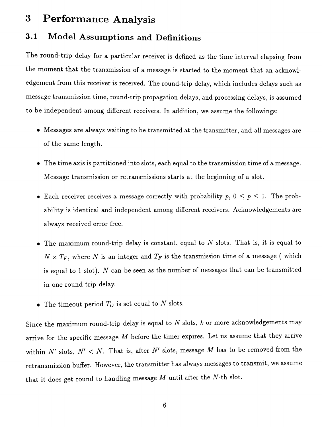### 3 Performance Analysis

#### 3.1 Model Assumptions and Definitions

The round-trip delay for a particular receiver is defined as the time interval elapsing from the moment that the transmission of a message is started to the moment that an acknowledgement from this receiver is received. The round-trip delay, which includes delays such as message transmission time, round-trip propagation delays, and processing delays, is assumed to be independent among different receivers. In addition, we assume the followings:

- Messages are always waiting to be transmitted at the transmitter, and all messages are of the same length.
- The time axis is partitioned into slots, each equal to the transmission time of a message. Message transmission or retransmissions starts at the beginning of a slot.
- Each receiver receives a message correctly with probability  $p, 0 \leq p \leq 1$ . The probability is identical and independent among different receivers. Acknowledgements are always received error free.
- $\bullet$  The maximum round-trip delay is constant, equal to  $N$  slots. That is, it is equal to  $N \times T_F$ , where *N* is an integer and  $T_F$  is the transmission time of a message (which is equal to 1 slot). N can be seen as the number of messages that can be transmitted in one round-trip delay.
- The timeout period *To* is set equal to *N* slots.

Since the maximum round-trip delay is equal to *N* slots, *k* or more acknowledgements may arrive for the specific message  $M$  before the timer expires. Let us assume that they arrive within  $N'$  slots,  $N' < N$ . That is, after  $N'$  slots, message  $M$  has to be removed from the retransmission buffer. However, the transmitter has always messages to transmit, we assume that it does get round to handling message *M* until after the *N-th* slot.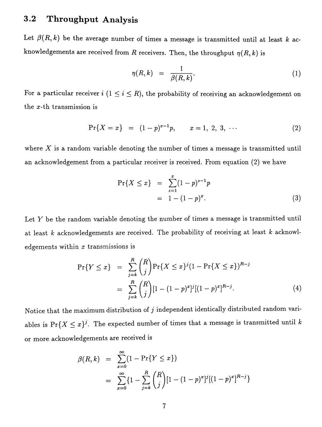### **3.2 Throughput Analysis**

Let  $\beta(R, k)$  be the average number of times a message is transmitted until at least k acknowledgements are received from R receivers. Then, the throughput  $\eta(R, k)$  is

$$
\eta(R,k) = \frac{1}{\beta(R,k)}.\tag{1}
$$

For a particular receiver  $i$   $(1 \leq i \leq R)$ , the probability of receiving an acknowledgement on the x-th transmission is

$$
\Pr\{X = x\} = (1-p)^{x-1}p, \qquad x = 1, 2, 3, \cdots \tag{2}
$$

where  $X$  is a random variable denoting the number of times a message is transmitted until an acknowledgement from a particular receiver is received. From equation (2) we have

$$
\Pr\{X \le x\} = \sum_{z=1}^{x} (1-p)^{z-1} p
$$
  
= 1 - (1-p)<sup>x</sup>. (3)

Let  $Y$  be the random variable denoting the number of times a message is transmitted until at least *k* acknowledgements are received. The probability of receiving at least *k* acknowledgements within  $x$  transmissions is

$$
\Pr\{Y \le x\} = \sum_{j=k}^{R} {R \choose j} \Pr\{X \le x\}^{j} (1 - \Pr\{X \le x\})^{R-j}
$$

$$
= \sum_{j=k}^{R} {R \choose j} [1 - (1-p)^{x}]^{j} [(1-p)^{x}]^{R-j}.
$$
(4)

Notice that the maximum distribution of  $j$  independent identically distributed random variables is  $Pr{X \leq x}^j$ . The expected number of times that a message is transmitted until *k* or more acknowledgements are received is

$$
\beta(R, k) = \sum_{x=0}^{\infty} (1 - \Pr\{Y \le x\})
$$
  
= 
$$
\sum_{x=0}^{\infty} \{1 - \sum_{j=k}^{R} {R \choose j} [1 - (1 - p)^x]^j [(1 - p)^x]^{R-j}\}
$$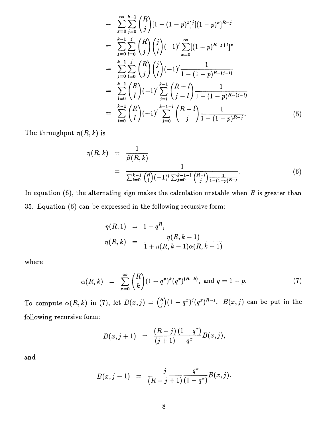$$
= \sum_{x=0}^{\infty} \sum_{j=0}^{k-1} {R \choose j} [1 - (1-p)^x]^j [(1-p)^x]^{R-j}
$$
  
\n
$$
= \sum_{j=0}^{k-1} \sum_{l=0}^{j} {R \choose j} {j \choose l} (-1)^l \sum_{x=0}^{\infty} [(1-p)^{R-j+l}]^x
$$
  
\n
$$
= \sum_{j=0}^{k-1} \sum_{l=0}^{j} {R \choose j} {j \choose l} (-1)^l \frac{1}{1 - (1-p)^{R-(j-l)}}
$$
  
\n
$$
= \sum_{l=0}^{k-1} {R \choose l} (-1)^l \sum_{j=l}^{k-1} {R-l \choose j-l} \frac{1}{1 - (1-p)^{R-(j-l)}}
$$
  
\n
$$
= \sum_{l=0}^{k-1} {R \choose l} (-1)^l \sum_{j=0}^{k-1-l} {R-l \choose j} \frac{1}{1 - (1-p)^{R-j}}.
$$
  
\n(5)

The **throughput**  $\eta(R, k)$  is

$$
\eta(R,k) = \frac{1}{\beta(R,k)}
$$
  
= 
$$
\frac{1}{\sum_{l=0}^{k-1} {R \choose l} (-1)^l \sum_{j=0}^{k-1-l} {R-l \choose j} \frac{1}{1-(1-p)^{R-j}}}.
$$
 (6)

**In equation (6), the alternating sign makes the calculation unstable when** *R* **is greater than 35. Equation (6) can be expressed in the following recursive form:**

$$
\eta(R,1) = 1 - q^R,
$$
  

$$
\eta(R,k) = \frac{\eta(R,k-1)}{1 + \eta(R,k-1)\alpha(R,k-1)}
$$

**where**

$$
\alpha(R,k) = \sum_{x=0}^{\infty} {R \choose k} (1-q^x)^k (q^x)^{(R-k)}, \text{ and } q=1-p.
$$
 (7)

To compute  $\alpha(R, k)$  in (7), let  $B(x, j) = {R \choose j} (1 - q^x)^j (q^x)^{R-j}$ .  $B(x, j)$  can be put in the **following recursive form:**

$$
B(x,j+1) = \frac{(R-j)}{(j+1)} \frac{(1-q^x)}{q^x} B(x,j),
$$

**and**

$$
B(x, j-1) = \frac{j}{(R-j+1)} \frac{q^x}{(1-q^x)} B(x, j).
$$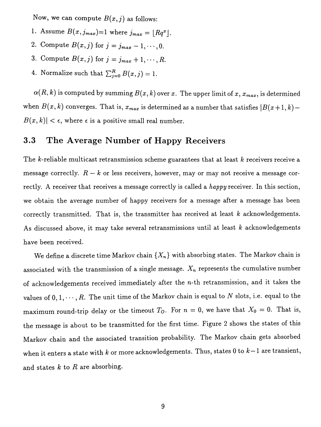Now, we can compute  $B(x, j)$  as follows:

- 1. Assume  $B(x, j_{max})=1$  where  $j_{max} = \lfloor Rq^x \rfloor$ .
- 2. Compute  $B(x, j)$  for  $j = j_{max} 1, \dots, 0$ .
- 3. Compute  $B(x, j)$  for  $j = j_{max} + 1, \dots, R$ .
- 4. Normalize such that  $\sum_{j=0}^{R} B(x, j) = 1$ .

 $\alpha(R, k)$  is computed by summing  $B(x, k)$  over *x*. The upper limit of *x*,  $x_{max}$ , is determined when  $B(x, k)$  converges. That is,  $x_{max}$  is determined as a number that satisfies  $|B(x+1, k) |B(x, k)| < \epsilon$ , where  $\epsilon$  is a positive small real number.

#### 3.3 The Average Number of Happy Receivers

The k-reliable multicast retransmission scheme guarantees that at least *k* receivers receive a message correctly.  $R - k$  or less receivers, however, may or may not receive a message correctly. A receiver that receives a message correctly is called a *happy* receiver. In this section, we obtain the average number of happy receivers for a message after a message has been correctly transmitted. That is, the transmitter has received at least *k* acknowledgements. As discussed above, it may take several retransmissions until at least  $k$  acknowledgements have been received.

We define a discrete time Markov chain  $\{X_n\}$  with absorbing states. The Markov chain is associated with the transmission of a single message.  $X_n$  represents the cumulative number of acknowledgements received immediately after the  $n$ -th retransmission, and it takes the values of  $0, 1, \dots, R$ . The unit time of the Markov chain is equal to *N* slots, i.e. equal to the maximum round-trip delay or the timeout  $T_O$ . For  $n=0$ , we have that  $X_0=0$ . That is, the message is about to be transmitted for the first time. Figure 2 shows the states of this Markov chain and the associated transition probability. The Markov chain gets absorbed when it enters <sup>a</sup> state with *<sup>k</sup>* or more acknowledgements. Thus, states 0 to *k-l* are transient, and states  $k$  to  $R$  are absorbing.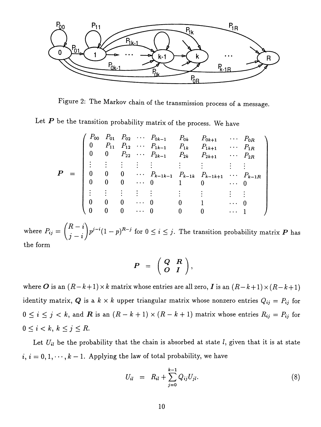

Figure 2: The Markov chain of the transmission process of a message.

Let  $P$  be the transition probability matrix of the process. We have

$$
P = \begin{pmatrix} P_{00} & P_{01} & P_{02} & \cdots & P_{0k-1} & P_{0k} & P_{0k+1} & \cdots & P_{0R} \\ 0 & P_{11} & P_{12} & \cdots & P_{1k-1} & P_{1k} & P_{1k+1} & \cdots & P_{1R} \\ 0 & 0 & P_{22} & \cdots & P_{2k-1} & P_{2k} & P_{2k+1} & \cdots & P_{2R} \\ \vdots & \vdots & \vdots & \vdots & \vdots & \vdots & \vdots & \vdots \\ 0 & 0 & 0 & \cdots & P_{k-1k-1} & P_{k-1k} & P_{k-1k+1} & \cdots & P_{k-1R} \\ 0 & 0 & 0 & \cdots & 0 & 1 & 0 & \cdots & 0 \\ \vdots & \vdots & \vdots & \vdots & \vdots & \vdots & \vdots & \vdots \\ 0 & 0 & 0 & \cdots & 0 & 0 & 1 & \cdots & 0 \\ 0 & 0 & 0 & \cdots & 0 & 0 & 0 & \cdots & 1 \end{pmatrix}
$$

where  $P_{ij} = {R-i \choose j-i} p^{j-i} (1-p)^{R-j}$  for  $0 \le i \le j$ . The transition probability matrix  $\boldsymbol{P}$  has the form

$$
P = \left(\begin{array}{cc} Q & R \\ O & I \end{array}\right),
$$

where *O* is an  $(R-k+1) \times k$  matrix whose entries are all zero, *I* is an  $(R-k+1) \times (R-k+1)$ identity matrix, Q is a  $k \times k$  upper triangular matrix whose nonzero entries  $Q_{ij} = P_{ij}$  for  $0 \le i \le j < k$ , and **R** is an  $(R - k + 1) \times (R - k + 1)$  matrix whose entries  $R_{ij} = P_{ij}$  for  $0 \leq i < k, k \leq j \leq R$ .

Let  $U_{il}$  be the probability that the chain is absorbed at state  $l$ , given that it is at state  $i, i = 0, 1, \dots, k - 1$ . Applying the law of total probability, we have

$$
U_{il} = R_{il} + \sum_{j=0}^{k-1} Q_{ij} U_{jl}.
$$
 (8)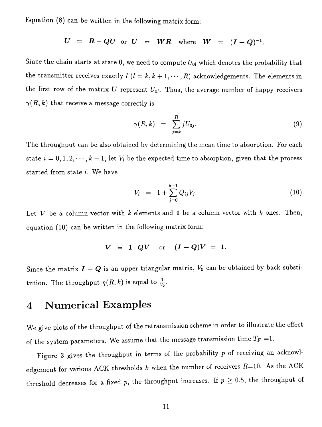**Equation (8) can be written in the following matrix form:**

$$
U = R + QU \text{ or } U = WR \text{ where } W = (I - Q)^{-1}.
$$

Since the chain starts at state 0, we need to compute  $U_{0l}$  which denotes the probability that **the transmitter receives exactly**  $l$  ( $l = k, k + 1, \dots, R$ ) acknowledgements. The elements in the first row of the matrix  $U$  represent  $U_{0l}$ . Thus, the average number of happy receivers  $\gamma(R, k)$  that receive a message correctly is

$$
\gamma(R,k) = \sum_{j=k}^{R} jU_{0j}.\tag{9}
$$

**The throughput can be also obtained by determining the mean time to absorption. For each** state  $i = 0, 1, 2, \dots, k - 1$ , let  $V_i$  be the expected time to absorption, given that the process **started from state i. We have**

$$
V_i = 1 + \sum_{j=0}^{k-1} Q_{ij} V_j.
$$
 (10)

**Let** *V* **be a column vector with** *k* **elements and 1 be a column vector with** *k* **ones. Then, equation (10) can be written in the following matrix form:**

$$
V = 1+QV
$$
 or  $(I-Q)V = 1$ .

Since the matrix  $I - Q$  is an upper triangular matrix,  $V_0$  can be obtained by back substi**tution.** The **throughput**  $\eta(R, k)$  is equal to  $\frac{1}{V_0}$ .

# **4 Numerical Examples**

We give plots of the throughput of the retransmission scheme in order to illustrate the effect of the system parameters. We assume that the message transmission time  $T_F = 1$ .

Figure 3 gives the throughput in terms of the probability *p* of receiving an acknowledgement for various ACK thresholds  $k$  when the number of receivers  $R=10$ . As the ACK threshold decreases for a fixed p, the throughput increases. If  $p \geq 0.5$ , the throughput of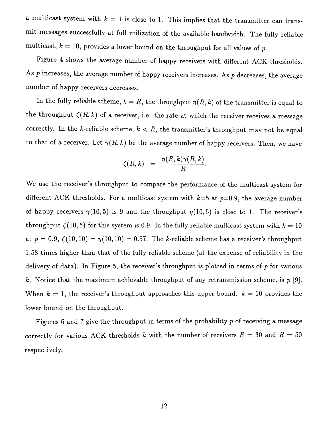a multicast system with  $k = 1$  is close to 1. This implies that the transmitter can transmit messages successfully at full utilization of the available bandwidth. The fully reliable multicast,  $k = 10$ , provides a lower bound on the throughput for all values of p.

Figure 4 shows the average number of happy receivers with different ACK thresholds. As  $p$  increases, the average number of happy receivers increases. As  $p$  decreases, the average number of happy receivers decreases.

In the fully reliable scheme,  $k = R$ , the throughput  $\eta(R, k)$  of the transmitter is equal to the throughput  $\zeta(R, k)$  of a receiver, i.e. the rate at which the receiver receives a message correctly. In the k-reliable scheme,  $k < R$ , the transmitter's throughput may not be equal to that of a receiver. Let  $\gamma(R, k)$  be the average number of happy receivers. Then, we have

$$
\zeta(R,k) = \frac{\eta(R,k)\gamma(R,k)}{R}.
$$

We use the receiver's throughput to compare the performance of the multicast system for different ACK thresholds. For a multicast system with  $k=5$  at  $p=0.9$ , the average number of happy receivers  $\gamma(10,5)$  is 9 and the throughput  $\eta(10,5)$  is close to 1. The receiver's throughput  $\zeta(10,5)$  for this system is 0.9. In the fully reliable multicast system with  $k = 10$ at  $p = 0.9$ ,  $\zeta(10,10) = \eta(10,10) = 0.57$ . The k-reliable scheme has a receiver's throughput 1.58 times higher than that of the fully reliable scheme (at the expense of reliability in the delivery of data). In Figure 5, the receiver's throughput is plotted in terms of *p* for various k. Notice that the maximum achievable throughput of any retransmission scheme, is  $p$  [9]. When  $k = 1$ , the receiver's throughput approaches this upper bound.  $k = 10$  provides the lower bound on the throughput.

Figures 6 and 7 give the throughput in terms of the probability  $p$  of receiving a message correctly for various ACK thresholds k with the number of receivers  $R = 30$  and  $R = 50$ respectively.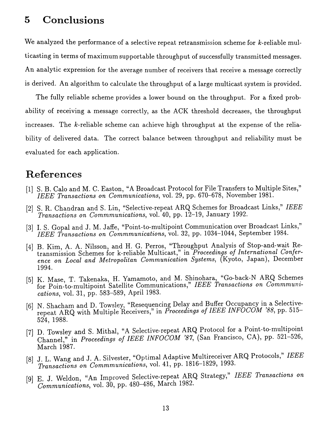### **5 Conclusions**

We analyzed the performance of a selective repeat retransmission scheme for k-reliable multicasting in terms of maximum supportable throughput of successfully transmitted messages. An analytic expression for the average number of receivers that receive a message correctly is derived. An algorithm to calculate the throughput of a large multicast system is provided.

The fully reliable scheme provides a lower bound on the throughput. For a fixed probability of receiving a message correctly, as the ACK threshold decreases, the throughput increases. The k-reliable scheme can achieve high throughput at the expense of the reliability of delivered data. The correct balance between throughput and reliability must be evaluated for each application.

### **References**

- [1] S. B. Calo and M. C. Easton, "A Broadcast Protocol for File Transfers to Multiple Sites," *IEEE Transactions on Communications,* vol. 29, pp. 670-678, November 1981.
- [2] S. R. Chandran and S. Lin, "Selective-repeat ARQ Schemes for Broadcast Links," *IEEE Transactions on Commmunications,* vol. 40, pp. 12-19, January 1992.
- [3] I. S. Gopal and J. M. Jaffe, "Point-to-multipoint Communication over Broadcast Links," *IEEE Transactions on Commmunications,* vol. 32, pp. 1034-1044, September 1984.
- [4] B. Kim, A. A. Nilsson, and H. G. Perros, "Throughput Analysis of Stop-and-wait Retransmission Schemes for k-reliable Multicast," in *Proceedings of International Conference on Local and Metropolitan Communication Systems,* (Kyoto, Japan), December 1994.
- [5] K. Mase, T. Takenaka, H. Yamamoto, and M. Shinohara, "Go-back-N ARQ Schemes for Poin-to-multipoint Satellite Communications," *IEEE Transactions on Commmunications,* vol. 31, pp. 583-589, April 1983.
- [6] N. Shacham and D. Towsley, "Resequencing Delay and Buffer Occupancy in a Selectiverepeat ARQ with Multiple Receivers," in *Proceedings of IEEE INFOCOM* '88, pp. 515- 524, 1988.
- [7] D. Towsley and S. Mithal, "A Selective-repeat ARQ Protocol for a Point-to-multipoint Channel," in *Proceedings of IEEE INFOCOM '87*, (San Francisco, CA), pp. 521-526, March 1987.
- [8] J. L. Wang and J. A. Silvester, "Optimal Adaptive Multireceiver ARQ Protocols," *IEEE Transactions on Commmunications,* vol. 41, pp. 1816-1829, 1993.
- [9] E. J. Weldon, "An Improved Selective-repeat ARQ Strategy," *IEEE Transactions on Communications,* vol. 30, pp. 480-486, March 1982.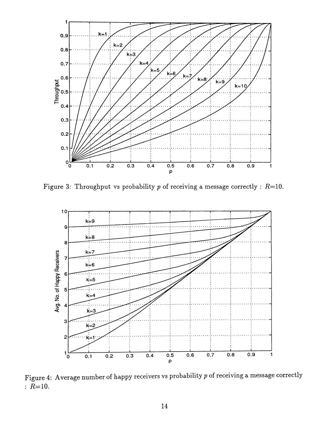

Figure 3: Throughput vs probability p of receiving a message correctly: *R=10.*



Figure 4: Average number of happy receivers vs probability p of receiving a message correctly :  $R=10$ .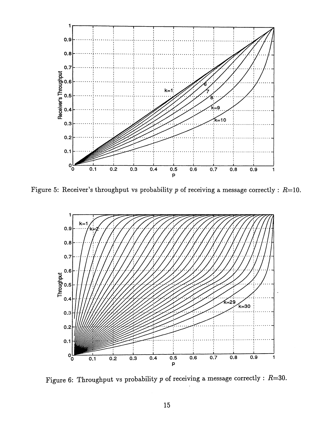

Figure 5: Receiver's throughput vs probability p of receiving a message correctly :  $R=10$ .



Figure 6: Throughput vs probability p of receiving a message correctly: *R=30.*